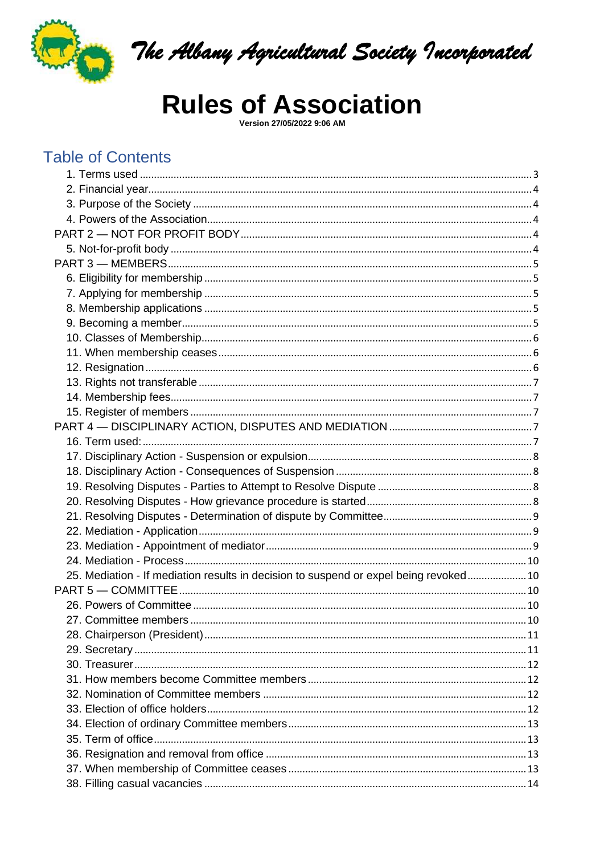

The Albany Agricultural Society Incorporated

# **Rules of Association**

Version 27/05/2022 9:06 AM

## **Table of Contents**

| 25. Mediation - If mediation results in decision to suspend or expel being revoked 10 |  |
|---------------------------------------------------------------------------------------|--|
|                                                                                       |  |
|                                                                                       |  |
| 27. Committee members.                                                                |  |
|                                                                                       |  |
|                                                                                       |  |
|                                                                                       |  |
|                                                                                       |  |
|                                                                                       |  |
|                                                                                       |  |
|                                                                                       |  |
|                                                                                       |  |
|                                                                                       |  |
|                                                                                       |  |
|                                                                                       |  |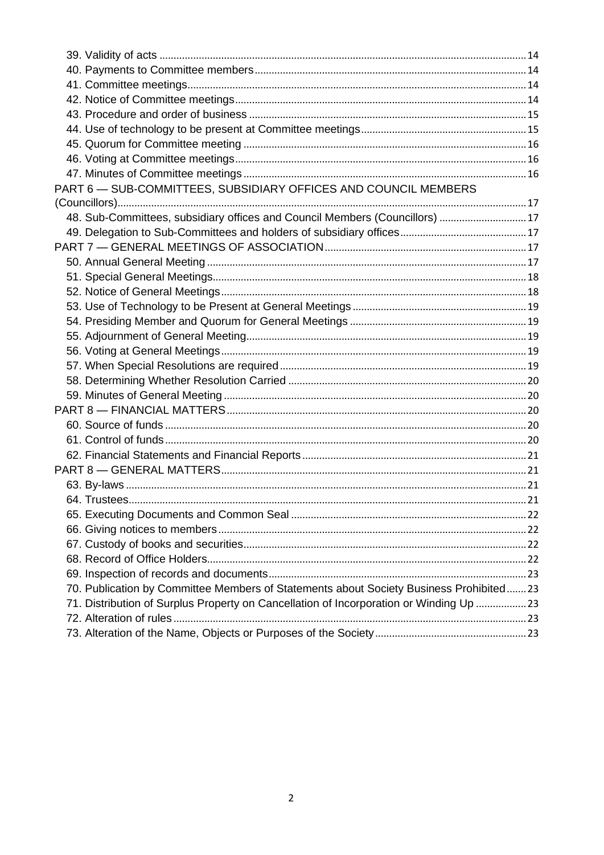| PART 6 - SUB-COMMITTEES, SUBSIDIARY OFFICES AND COUNCIL MEMBERS                        |  |
|----------------------------------------------------------------------------------------|--|
|                                                                                        |  |
| 48. Sub-Committees, subsidiary offices and Council Members (Councillors)  17           |  |
|                                                                                        |  |
|                                                                                        |  |
|                                                                                        |  |
|                                                                                        |  |
|                                                                                        |  |
|                                                                                        |  |
|                                                                                        |  |
|                                                                                        |  |
|                                                                                        |  |
|                                                                                        |  |
|                                                                                        |  |
|                                                                                        |  |
|                                                                                        |  |
|                                                                                        |  |
|                                                                                        |  |
|                                                                                        |  |
|                                                                                        |  |
|                                                                                        |  |
|                                                                                        |  |
|                                                                                        |  |
|                                                                                        |  |
|                                                                                        |  |
|                                                                                        |  |
|                                                                                        |  |
| 70. Publication by Committee Members of Statements about Society Business Prohibited23 |  |
| 71. Distribution of Surplus Property on Cancellation of Incorporation or Winding Up 23 |  |
|                                                                                        |  |
|                                                                                        |  |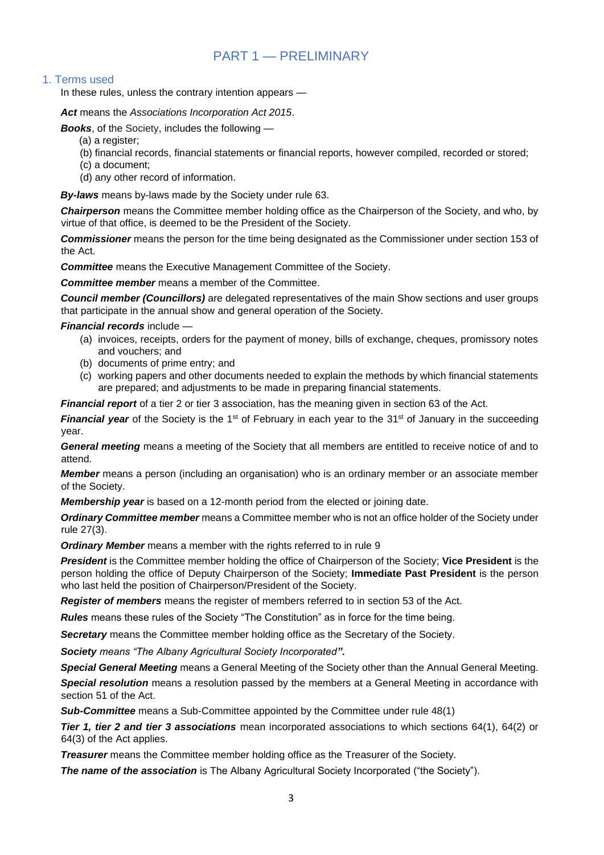## PART 1 — PRELIMINARY

#### <span id="page-2-0"></span>1. Terms used

In these rules, unless the contrary intention appears —

*Act* means the *Associations Incorporation Act 2015*.

*Books*, of the Society, includes the following —

- (a) a register:
- (b) financial records, financial statements or financial reports, however compiled, recorded or stored;
- (c) a document;
- (d) any other record of information.

*By-laws* means by-laws made by the Society under rule 63.

*Chairperson* means the Committee member holding office as the Chairperson of the Society, and who, by virtue of that office, is deemed to be the President of the Society.

*Commissioner* means the person for the time being designated as the Commissioner under section 153 of the Act.

*Committee* means the Executive Management Committee of the Society.

*Committee member* means a member of the Committee.

*Council member (Councillors)* are delegated representatives of the main Show sections and user groups that participate in the annual show and general operation of the Society.

*Financial records* include —

- (a) invoices, receipts, orders for the payment of money, bills of exchange, cheques, promissory notes and vouchers; and
- (b) documents of prime entry; and
- (c) working papers and other documents needed to explain the methods by which financial statements are prepared; and adjustments to be made in preparing financial statements.

*Financial report* of a tier 2 or tier 3 association, has the meaning given in section 63 of the Act.

*Financial year* of the Society is the 1<sup>st</sup> of February in each year to the 31<sup>st</sup> of January in the succeeding year.

*General meeting* means a meeting of the Society that all members are entitled to receive notice of and to attend.

*Member* means a person (including an organisation) who is an ordinary member or an associate member of the Society.

*Membership year* is based on a 12-month period from the elected or joining date.

*Ordinary Committee member* means a Committee member who is not an office holder of the Society under rule 27(3).

*Ordinary Member* means a member with the rights referred to in rule 9

*President* is the Committee member holding the office of Chairperson of the Society; **Vice President** is the person holding the office of Deputy Chairperson of the Society; **Immediate Past President** is the person who last held the position of Chairperson/President of the Society.

*Register of members* means the register of members referred to in section 53 of the Act.

*Rules* means these rules of the Society "The Constitution" as in force for the time being.

*Secretary* means the Committee member holding office as the Secretary of the Society.

*Society means "The Albany Agricultural Society Incorporated".*

*Special General Meeting* means a General Meeting of the Society other than the Annual General Meeting.

*Special resolution* means a resolution passed by the members at a General Meeting in accordance with section 51 of the Act.

*Sub-Committee* means a Sub-Committee appointed by the Committee under rule 48(1)

*Tier 1, tier 2 and tier 3 associations* mean incorporated associations to which sections 64(1), 64(2) or 64(3) of the Act applies.

*Treasurer* means the Committee member holding office as the Treasurer of the Society.

**The name of the association** is The Albany Agricultural Society Incorporated ("the Society").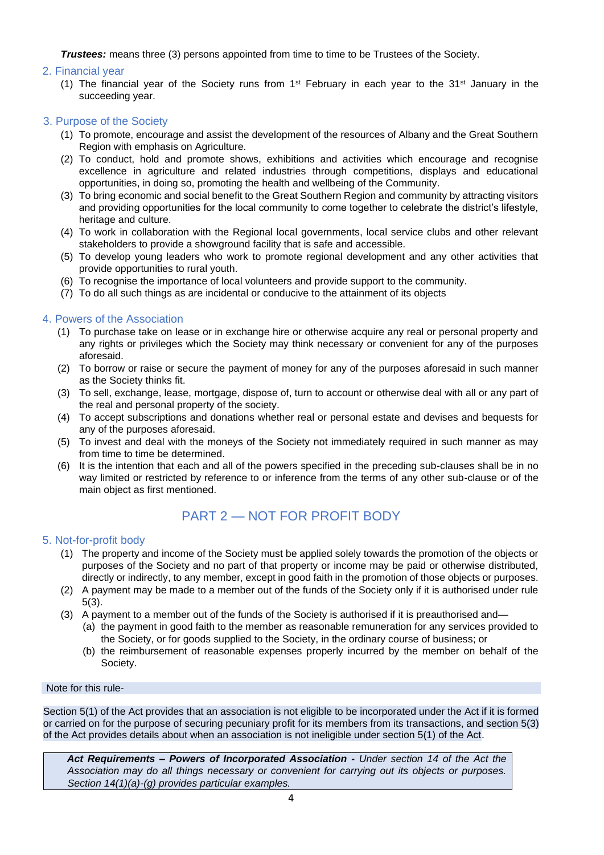*Trustees:* means three (3) persons appointed from time to time to be Trustees of the Society.

#### <span id="page-3-0"></span>2. Financial year

(1) The financial year of the Society runs from  $1^{st}$  February in each year to the 31<sup>st</sup> January in the succeeding year.

#### <span id="page-3-1"></span>3. Purpose of the Society

- (1) To promote, encourage and assist the development of the resources of Albany and the Great Southern Region with emphasis on Agriculture.
- (2) To conduct, hold and promote shows, exhibitions and activities which encourage and recognise excellence in agriculture and related industries through competitions, displays and educational opportunities, in doing so, promoting the health and wellbeing of the Community.
- (3) To bring economic and social benefit to the Great Southern Region and community by attracting visitors and providing opportunities for the local community to come together to celebrate the district's lifestyle, heritage and culture.
- (4) To work in collaboration with the Regional local governments, local service clubs and other relevant stakeholders to provide a showground facility that is safe and accessible.
- (5) To develop young leaders who work to promote regional development and any other activities that provide opportunities to rural youth.
- (6) To recognise the importance of local volunteers and provide support to the community.
- (7) To do all such things as are incidental or conducive to the attainment of its objects

#### <span id="page-3-2"></span>4. Powers of the Association

- (1) To purchase take on lease or in exchange hire or otherwise acquire any real or personal property and any rights or privileges which the Society may think necessary or convenient for any of the purposes aforesaid.
- (2) To borrow or raise or secure the payment of money for any of the purposes aforesaid in such manner as the Society thinks fit.
- (3) To sell, exchange, lease, mortgage, dispose of, turn to account or otherwise deal with all or any part of the real and personal property of the society.
- (4) To accept subscriptions and donations whether real or personal estate and devises and bequests for any of the purposes aforesaid.
- (5) To invest and deal with the moneys of the Society not immediately required in such manner as may from time to time be determined.
- (6) It is the intention that each and all of the powers specified in the preceding sub-clauses shall be in no way limited or restricted by reference to or inference from the terms of any other sub-clause or of the main object as first mentioned.

## PART 2 — NOT FOR PROFIT BODY

#### <span id="page-3-4"></span><span id="page-3-3"></span>5. Not-for-profit body

- (1) The property and income of the Society must be applied solely towards the promotion of the objects or purposes of the Society and no part of that property or income may be paid or otherwise distributed, directly or indirectly, to any member, except in good faith in the promotion of those objects or purposes.
- (2) A payment may be made to a member out of the funds of the Society only if it is authorised under rule 5(3).
- (3) A payment to a member out of the funds of the Society is authorised if it is preauthorised and—
	- (a) the payment in good faith to the member as reasonable remuneration for any services provided to the Society, or for goods supplied to the Society, in the ordinary course of business; or
	- (b) the reimbursement of reasonable expenses properly incurred by the member on behalf of the Society.

#### Note for this rule-

Section 5(1) of the Act provides that an association is not eligible to be incorporated under the Act if it is formed or carried on for the purpose of securing pecuniary profit for its members from its transactions, and section 5(3) of the Act provides details about when an association is not ineligible under section 5(1) of the Act.

*Act Requirements – Powers of Incorporated Association - Under section 14 of the Act the Association may do all things necessary or convenient for carrying out its objects or purposes. Section 14(1)(a)-(g) provides particular examples.*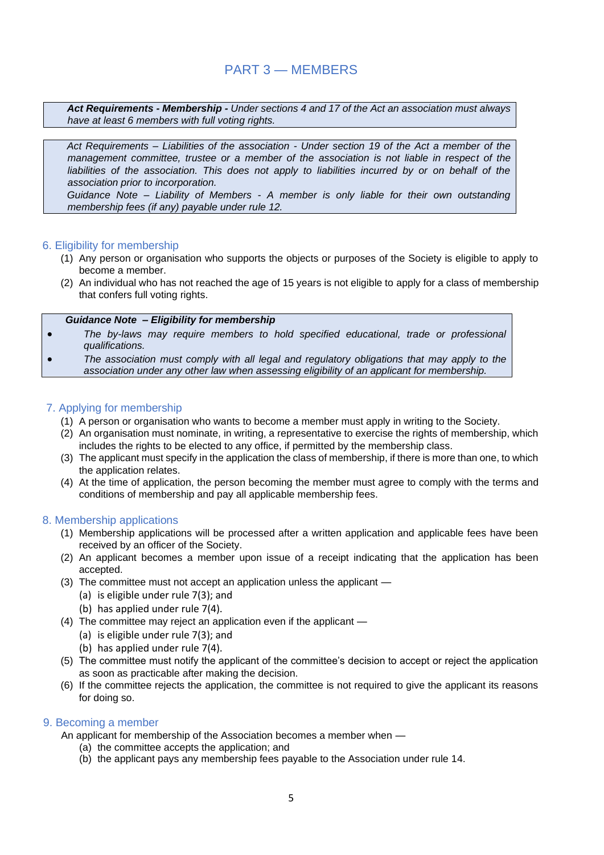### PART 3 — MEMBERS

<span id="page-4-0"></span>*Act Requirements - Membership - Under sections 4 and 17 of the Act an association must always have at least 6 members with full voting rights.*

*Act Requirements – Liabilities of the association - Under section 19 of the Act a member of the management committee, trustee or a member of the association is not liable in respect of the*  liabilities of the association. This does not apply to liabilities incurred by or on behalf of the *association prior to incorporation.*

*Guidance Note – Liability of Members - A member is only liable for their own outstanding membership fees (if any) payable under rule 12.*

#### <span id="page-4-1"></span>6. Eligibility for membership

- (1) Any person or organisation who supports the objects or purposes of the Society is eligible to apply to become a member.
- (2) An individual who has not reached the age of 15 years is not eligible to apply for a class of membership that confers full voting rights.

#### *Guidance Note – Eligibility for membership*

- *The by-laws may require members to hold specified educational, trade or professional qualifications.*
- *The association must comply with all legal and regulatory obligations that may apply to the association under any other law when assessing eligibility of an applicant for membership.*

#### <span id="page-4-2"></span>7. Applying for membership

- (1) A person or organisation who wants to become a member must apply in writing to the Society.
- (2) An organisation must nominate, in writing, a representative to exercise the rights of membership, which includes the rights to be elected to any office, if permitted by the membership class.
- (3) The applicant must specify in the application the class of membership, if there is more than one, to which the application relates.
- (4) At the time of application, the person becoming the member must agree to comply with the terms and conditions of membership and pay all applicable membership fees.

#### <span id="page-4-3"></span>8. Membership applications

- (1) Membership applications will be processed after a written application and applicable fees have been received by an officer of the Society.
- (2) An applicant becomes a member upon issue of a receipt indicating that the application has been accepted.
- (3) The committee must not accept an application unless the applicant
	- (a) is eligible under rule 7(3); and
	- (b) has applied under rule 7(4).
- (4) The committee may reject an application even if the applicant
	- (a) is eligible under rule 7(3); and
	- (b) has applied under rule 7(4).
- (5) The committee must notify the applicant of the committee's decision to accept or reject the application as soon as practicable after making the decision.
- (6) If the committee rejects the application, the committee is not required to give the applicant its reasons for doing so.

#### <span id="page-4-4"></span>9. Becoming a member

An applicant for membership of the Association becomes a member when —

- (a) the committee accepts the application; and
- (b) the applicant pays any membership fees payable to the Association under rule 14.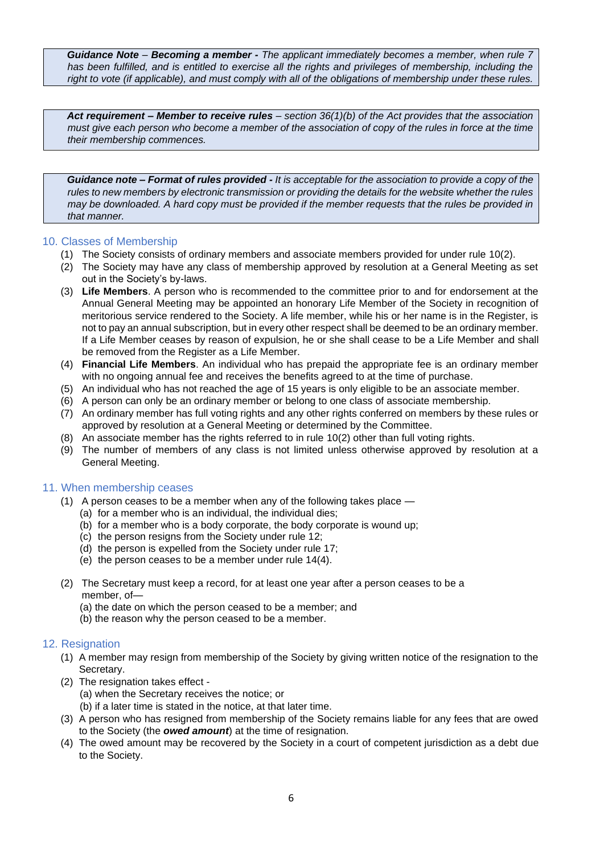*Guidance Note – Becoming a member - The applicant immediately becomes a member, when rule 7 has been fulfilled, and is entitled to exercise all the rights and privileges of membership, including the right to vote (if applicable), and must comply with all of the obligations of membership under these rules.* 

*Act requirement – Member to receive rules – section 36(1)(b) of the Act provides that the association must give each person who become a member of the association of copy of the rules in force at the time their membership commences.* 

*Guidance note – Format of rules provided - It is acceptable for the association to provide a copy of the rules to new members by electronic transmission or providing the details for the website whether the rules may be downloaded. A hard copy must be provided if the member requests that the rules be provided in that manner.*

#### <span id="page-5-0"></span>10. Classes of Membership

- (1) The Society consists of ordinary members and associate members provided for under rule 10(2).
- (2) The Society may have any class of membership approved by resolution at a General Meeting as set out in the Society's by-laws.
- (3) **Life Members**. A person who is recommended to the committee prior to and for endorsement at the Annual General Meeting may be appointed an honorary Life Member of the Society in recognition of meritorious service rendered to the Society. A life member, while his or her name is in the Register, is not to pay an annual subscription, but in every other respect shall be deemed to be an ordinary member. If a Life Member ceases by reason of expulsion, he or she shall cease to be a Life Member and shall be removed from the Register as a Life Member.
- (4) **Financial Life Members**. An individual who has prepaid the appropriate fee is an ordinary member with no ongoing annual fee and receives the benefits agreed to at the time of purchase.
- (5) An individual who has not reached the age of 15 years is only eligible to be an associate member.
- (6) A person can only be an ordinary member or belong to one class of associate membership.
- (7) An ordinary member has full voting rights and any other rights conferred on members by these rules or approved by resolution at a General Meeting or determined by the Committee.
- (8) An associate member has the rights referred to in rule 10(2) other than full voting rights.
- (9) The number of members of any class is not limited unless otherwise approved by resolution at a General Meeting.

#### <span id="page-5-1"></span>11. When membership ceases

- (1) A person ceases to be a member when any of the following takes place
	- (a) for a member who is an individual, the individual dies;
	- (b) for a member who is a body corporate, the body corporate is wound up;
	- (c) the person resigns from the Society under rule 12;
	- (d) the person is expelled from the Society under rule 17;
	- (e) the person ceases to be a member under rule 14(4).
- (2) The Secretary must keep a record, for at least one year after a person ceases to be a member, of—
	- (a) the date on which the person ceased to be a member; and
	- (b) the reason why the person ceased to be a member.

#### <span id="page-5-2"></span>12. Resignation

- (1) A member may resign from membership of the Society by giving written notice of the resignation to the Secretary.
- (2) The resignation takes effect
	- (a) when the Secretary receives the notice; or
	- (b) if a later time is stated in the notice, at that later time.
- (3) A person who has resigned from membership of the Society remains liable for any fees that are owed to the Society (the *owed amount*) at the time of resignation.
- (4) The owed amount may be recovered by the Society in a court of competent jurisdiction as a debt due to the Society.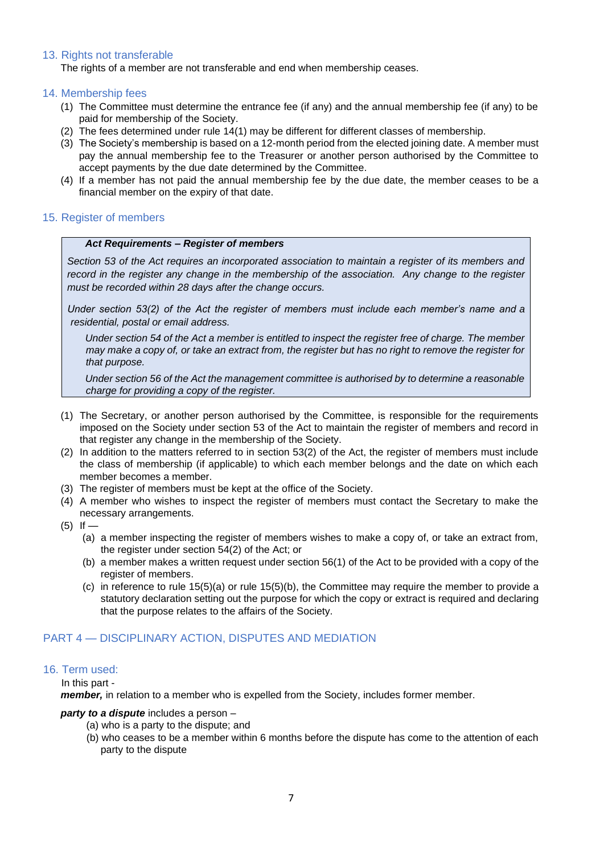#### <span id="page-6-0"></span>13. Rights not transferable

The rights of a member are not transferable and end when membership ceases.

#### <span id="page-6-1"></span>14. Membership fees

- (1) The Committee must determine the entrance fee (if any) and the annual membership fee (if any) to be paid for membership of the Society.
- (2) The fees determined under rule 14(1) may be different for different classes of membership.
- (3) The Society's membership is based on a 12-month period from the elected joining date. A member must pay the annual membership fee to the Treasurer or another person authorised by the Committee to accept payments by the due date determined by the Committee.
- (4) If a member has not paid the annual membership fee by the due date, the member ceases to be a financial member on the expiry of that date.

#### <span id="page-6-2"></span>15. Register of members

#### *Act Requirements – Register of members*

*Section 53 of the Act requires an incorporated association to maintain a register of its members and record in the register any change in the membership of the association. Any change to the register must be recorded within 28 days after the change occurs.*

*Under section 53(2) of the Act the register of members must include each member's name and a residential, postal or email address.* 

*Under section 54 of the Act a member is entitled to inspect the register free of charge. The member may make a copy of, or take an extract from, the register but has no right to remove the register for that purpose.* 

*Under section 56 of the Act the management committee is authorised by to determine a reasonable charge for providing a copy of the register.* 

- (1) The Secretary, or another person authorised by the Committee, is responsible for the requirements imposed on the Society under section 53 of the Act to maintain the register of members and record in that register any change in the membership of the Society.
- (2) In addition to the matters referred to in section 53(2) of the Act, the register of members must include the class of membership (if applicable) to which each member belongs and the date on which each member becomes a member.
- (3) The register of members must be kept at the office of the Society.
- (4) A member who wishes to inspect the register of members must contact the Secretary to make the necessary arrangements.
- $(5)$  If
	- (a) a member inspecting the register of members wishes to make a copy of, or take an extract from, the register under section 54(2) of the Act; or
	- (b) a member makes a written request under section 56(1) of the Act to be provided with a copy of the register of members.
	- (c) in reference to rule 15(5)(a) or rule 15(5)(b), the Committee may require the member to provide a statutory declaration setting out the purpose for which the copy or extract is required and declaring that the purpose relates to the affairs of the Society.

#### <span id="page-6-3"></span>PART 4 — DISCIPLINARY ACTION, DISPUTES AND MEDIATION

#### <span id="page-6-4"></span>16. Term used:

In this part -

*member,* in relation to a member who is expelled from the Society, includes former member.

#### *party to a dispute* includes a person –

- (a) who is a party to the dispute; and
- (b) who ceases to be a member within 6 months before the dispute has come to the attention of each party to the dispute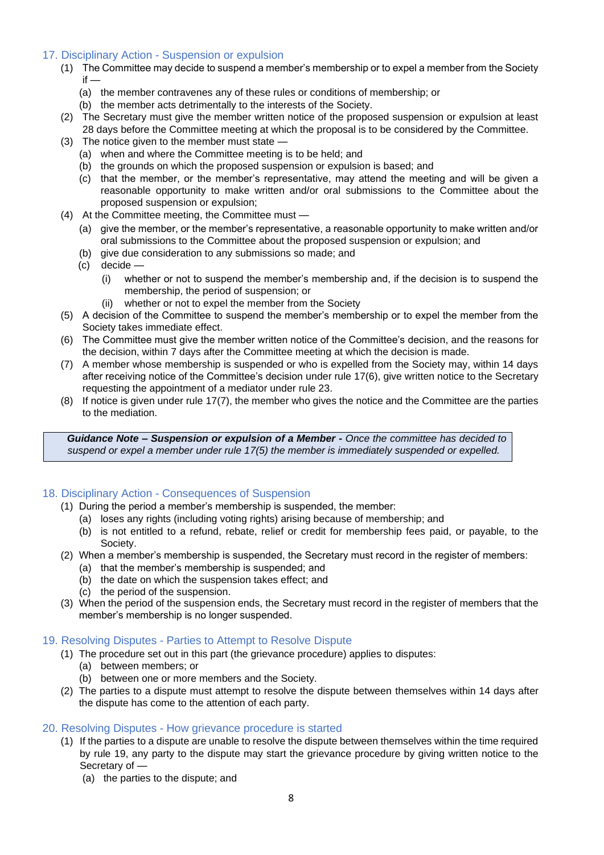#### <span id="page-7-0"></span>17. Disciplinary Action - Suspension or expulsion

- (1) The Committee may decide to suspend a member's membership or to expel a member from the Society  $if -$ 
	- (a) the member contravenes any of these rules or conditions of membership; or
	- (b) the member acts detrimentally to the interests of the Society.
- (2) The Secretary must give the member written notice of the proposed suspension or expulsion at least
	- 28 days before the Committee meeting at which the proposal is to be considered by the Committee.
- (3) The notice given to the member must state
	- (a) when and where the Committee meeting is to be held; and
	- (b) the grounds on which the proposed suspension or expulsion is based; and
	- (c) that the member, or the member's representative, may attend the meeting and will be given a reasonable opportunity to make written and/or oral submissions to the Committee about the proposed suspension or expulsion;
- (4) At the Committee meeting, the Committee must
	- (a) give the member, or the member's representative, a reasonable opportunity to make written and/or oral submissions to the Committee about the proposed suspension or expulsion; and
	- (b) give due consideration to any submissions so made; and
	- (c) decide
		- (i) whether or not to suspend the member's membership and, if the decision is to suspend the membership, the period of suspension; or
		- (ii) whether or not to expel the member from the Society
- (5) A decision of the Committee to suspend the member's membership or to expel the member from the Society takes immediate effect.
- (6) The Committee must give the member written notice of the Committee's decision, and the reasons for the decision, within 7 days after the Committee meeting at which the decision is made.
- (7) A member whose membership is suspended or who is expelled from the Society may, within 14 days after receiving notice of the Committee's decision under rule 17(6), give written notice to the Secretary requesting the appointment of a mediator under rule 23.
- (8) If notice is given under rule 17(7), the member who gives the notice and the Committee are the parties to the mediation.

*Guidance Note – Suspension or expulsion of a Member - Once the committee has decided to suspend or expel a member under rule 17(5) the member is immediately suspended or expelled.* 

#### <span id="page-7-1"></span>18. Disciplinary Action - Consequences of Suspension

- (1) During the period a member's membership is suspended, the member:
	- (a) loses any rights (including voting rights) arising because of membership; and
	- (b) is not entitled to a refund, rebate, relief or credit for membership fees paid, or payable, to the Society.
- (2) When a member's membership is suspended, the Secretary must record in the register of members:
	- (a) that the member's membership is suspended; and
	- (b) the date on which the suspension takes effect; and
	- (c) the period of the suspension.
- (3) When the period of the suspension ends, the Secretary must record in the register of members that the member's membership is no longer suspended.

#### <span id="page-7-2"></span>19. Resolving Disputes - Parties to Attempt to Resolve Dispute

- (1) The procedure set out in this part (the grievance procedure) applies to disputes:
	- (a) between members; or
	- (b) between one or more members and the Society.
- (2) The parties to a dispute must attempt to resolve the dispute between themselves within 14 days after the dispute has come to the attention of each party.

#### <span id="page-7-3"></span>20. Resolving Disputes - How grievance procedure is started

- (1) If the parties to a dispute are unable to resolve the dispute between themselves within the time required by rule 19, any party to the dispute may start the grievance procedure by giving written notice to the Secretary of —
	- (a) the parties to the dispute; and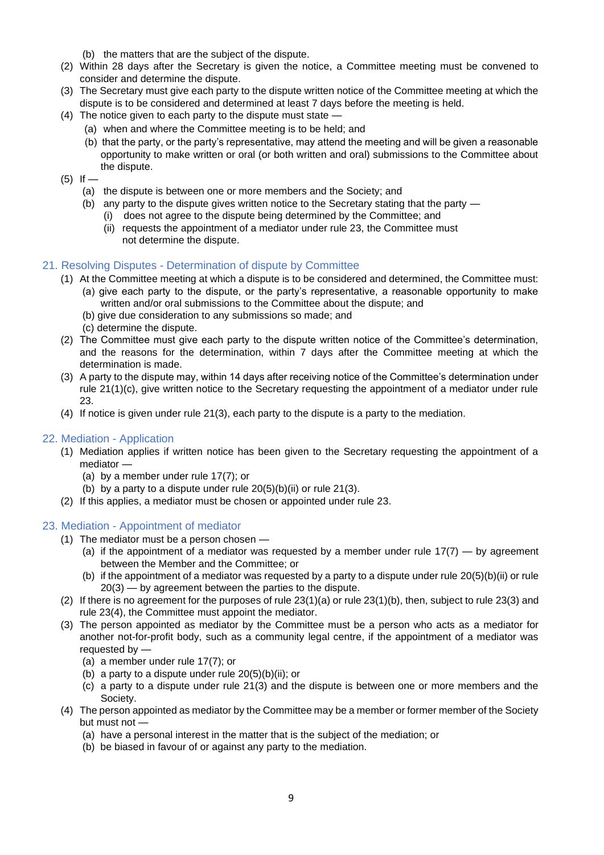- (b) the matters that are the subject of the dispute.
- (2) Within 28 days after the Secretary is given the notice, a Committee meeting must be convened to consider and determine the dispute.
- (3) The Secretary must give each party to the dispute written notice of the Committee meeting at which the dispute is to be considered and determined at least 7 days before the meeting is held.
- (4) The notice given to each party to the dispute must state
	- (a) when and where the Committee meeting is to be held; and
	- (b) that the party, or the party's representative, may attend the meeting and will be given a reasonable opportunity to make written or oral (or both written and oral) submissions to the Committee about the dispute.
- $(5)$  If
	- (a) the dispute is between one or more members and the Society; and
	- (b) any party to the dispute gives written notice to the Secretary stating that the party
		- (i) does not agree to the dispute being determined by the Committee; and
		- (ii) requests the appointment of a mediator under rule 23, the Committee must not determine the dispute.

#### <span id="page-8-0"></span>21. Resolving Disputes - Determination of dispute by Committee

- (1) At the Committee meeting at which a dispute is to be considered and determined, the Committee must:
	- (a) give each party to the dispute, or the party's representative, a reasonable opportunity to make written and/or oral submissions to the Committee about the dispute; and
	- (b) give due consideration to any submissions so made; and
	- (c) determine the dispute.
- (2) The Committee must give each party to the dispute written notice of the Committee's determination, and the reasons for the determination, within 7 days after the Committee meeting at which the determination is made.
- (3) A party to the dispute may, within 14 days after receiving notice of the Committee's determination under rule 21(1)(c), give written notice to the Secretary requesting the appointment of a mediator under rule 23.
- (4) If notice is given under rule 21(3), each party to the dispute is a party to the mediation.

#### <span id="page-8-1"></span>22. Mediation - Application

- (1) Mediation applies if written notice has been given to the Secretary requesting the appointment of a mediator —
	- (a) by a member under rule 17(7); or
	- (b) by a party to a dispute under rule  $20(5)(b)(ii)$  or rule  $21(3)$ .
- (2) If this applies, a mediator must be chosen or appointed under rule 23.

#### <span id="page-8-2"></span>23. Mediation - Appointment of mediator

- (1) The mediator must be a person chosen
	- (a) if the appointment of a mediator was requested by a member under rule  $17(7)$  by agreement between the Member and the Committee; or
	- (b) if the appointment of a mediator was requested by a party to a dispute under rule 20(5)(b)(ii) or rule 20(3) — by agreement between the parties to the dispute.
- (2) If there is no agreement for the purposes of rule  $23(1)(a)$  or rule  $23(1)(b)$ , then, subject to rule  $23(3)$  and rule 23(4), the Committee must appoint the mediator.
- (3) The person appointed as mediator by the Committee must be a person who acts as a mediator for another not-for-profit body, such as a community legal centre, if the appointment of a mediator was requested by —
	- (a) a member under rule 17(7); or
	- (b) a party to a dispute under rule  $20(5)(b)(ii)$ ; or
	- (c) a party to a dispute under rule 21(3) and the dispute is between one or more members and the Society.
- (4) The person appointed as mediator by the Committee may be a member or former member of the Society but must not —
	- (a) have a personal interest in the matter that is the subject of the mediation; or
	- (b) be biased in favour of or against any party to the mediation.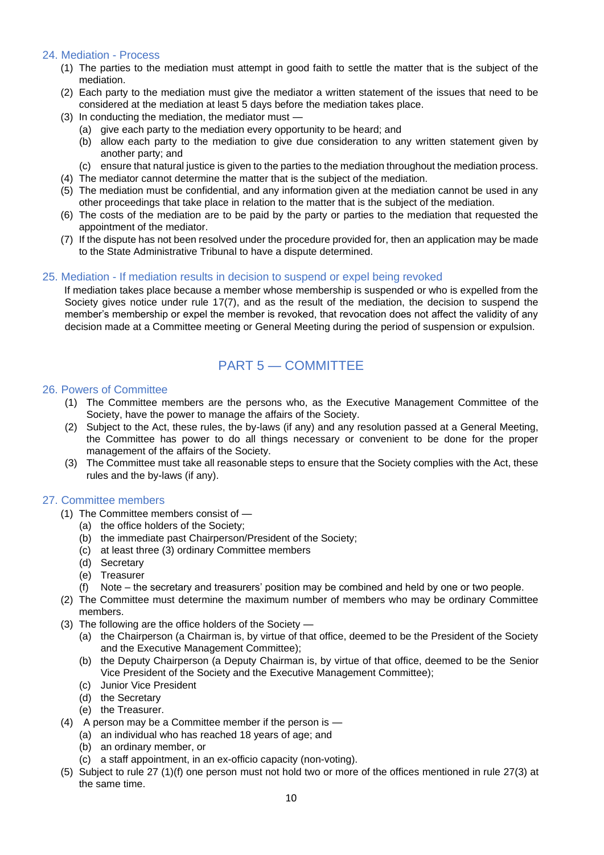#### <span id="page-9-0"></span>24. Mediation - Process

- (1) The parties to the mediation must attempt in good faith to settle the matter that is the subject of the mediation.
- (2) Each party to the mediation must give the mediator a written statement of the issues that need to be considered at the mediation at least 5 days before the mediation takes place.
- (3) In conducting the mediation, the mediator must
	- (a) give each party to the mediation every opportunity to be heard; and
	- (b) allow each party to the mediation to give due consideration to any written statement given by another party; and
	- (c) ensure that natural justice is given to the parties to the mediation throughout the mediation process.
- (4) The mediator cannot determine the matter that is the subject of the mediation.
- (5) The mediation must be confidential, and any information given at the mediation cannot be used in any other proceedings that take place in relation to the matter that is the subject of the mediation.
- (6) The costs of the mediation are to be paid by the party or parties to the mediation that requested the appointment of the mediator.
- (7) If the dispute has not been resolved under the procedure provided for, then an application may be made to the State Administrative Tribunal to have a dispute determined.

#### <span id="page-9-1"></span>25. Mediation - If mediation results in decision to suspend or expel being revoked

 If mediation takes place because a member whose membership is suspended or who is expelled from the Society gives notice under rule 17(7), and as the result of the mediation, the decision to suspend the member's membership or expel the member is revoked, that revocation does not affect the validity of any decision made at a Committee meeting or General Meeting during the period of suspension or expulsion.

## PART 5 — COMMITTEE

#### <span id="page-9-3"></span><span id="page-9-2"></span>26. Powers of Committee

- (1) The Committee members are the persons who, as the Executive Management Committee of the Society, have the power to manage the affairs of the Society.
- (2) Subject to the Act, these rules, the by-laws (if any) and any resolution passed at a General Meeting, the Committee has power to do all things necessary or convenient to be done for the proper management of the affairs of the Society.
- (3) The Committee must take all reasonable steps to ensure that the Society complies with the Act, these rules and the by-laws (if any).

#### <span id="page-9-4"></span>27. Committee members

- (1) The Committee members consist of
	- (a) the office holders of the Society;
	- (b) the immediate past Chairperson/President of the Society;
	- (c) at least three (3) ordinary Committee members
	- (d) Secretary
	- (e) Treasurer
	- (f) Note the secretary and treasurers' position may be combined and held by one or two people.
- (2) The Committee must determine the maximum number of members who may be ordinary Committee members.
- (3) The following are the office holders of the Society
	- (a) the Chairperson (a Chairman is, by virtue of that office, deemed to be the President of the Society and the Executive Management Committee);
	- (b) the Deputy Chairperson (a Deputy Chairman is, by virtue of that office, deemed to be the Senior Vice President of the Society and the Executive Management Committee);
	- (c) Junior Vice President
	- (d) the Secretary
	- (e) the Treasurer.
- (4) A person may be a Committee member if the person is
	- (a) an individual who has reached 18 years of age; and
	- (b) an ordinary member, or
	- (c) a staff appointment, in an ex-officio capacity (non-voting).
- (5) Subject to rule 27 (1)(f) one person must not hold two or more of the offices mentioned in rule 27(3) at the same time.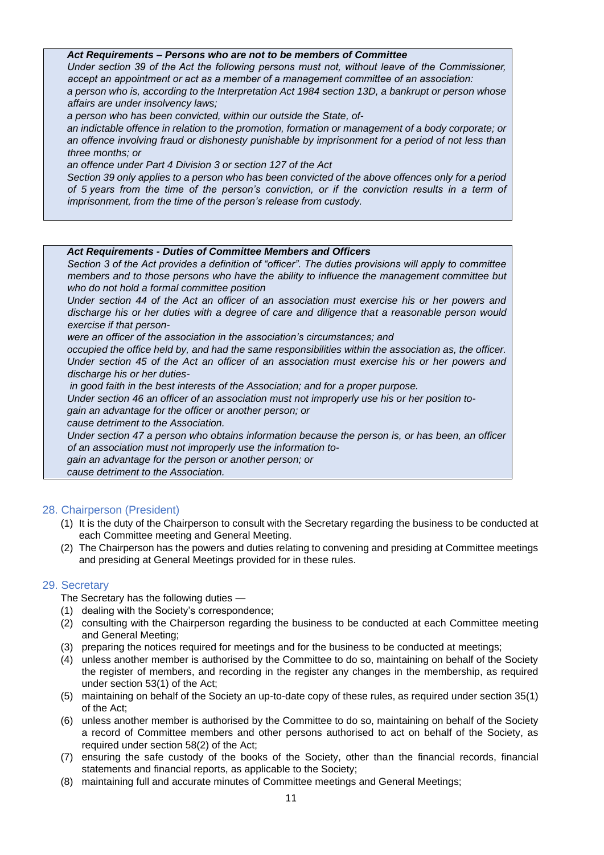#### *Act Requirements – Persons who are not to be members of Committee*

*Under section 39 of the Act the following persons must not, without leave of the Commissioner, accept an appointment or act as a member of a management committee of an association:*

*a person who is, according to the Interpretation Act 1984 section 13D, a bankrupt or person whose affairs are under insolvency laws;*

*a person who has been convicted, within our outside the State, of-*

*an indictable offence in relation to the promotion, formation or management of a body corporate; or an offence involving fraud or dishonesty punishable by imprisonment for a period of not less than three months; or*

*an offence under Part 4 Division 3 or section 127 of the Act*

*Section 39 only applies to a person who has been convicted of the above offences only for a period of 5 years from the time of the person's conviction, or if the conviction results in a term of imprisonment, from the time of the person's release from custody.* 

#### *Act Requirements - Duties of Committee Members and Officers*

*Section 3 of the Act provides a definition of "officer". The duties provisions will apply to committee members and to those persons who have the ability to influence the management committee but who do not hold a formal committee position*

*Under section 44 of the Act an officer of an association must exercise his or her powers and discharge his or her duties with a degree of care and diligence that a reasonable person would exercise if that person-*

*were an officer of the association in the association's circumstances; and*

*occupied the office held by, and had the same responsibilities within the association as, the officer. Under section 45 of the Act an officer of an association must exercise his or her powers and discharge his or her duties-*

*in good faith in the best interests of the Association; and for a proper purpose.* 

*Under section 46 an officer of an association must not improperly use his or her position to-*

*gain an advantage for the officer or another person; or*

*cause detriment to the Association.*

*Under section 47 a person who obtains information because the person is, or has been, an officer of an association must not improperly use the information to-*

*gain an advantage for the person or another person; or*

*cause detriment to the Association.*

#### <span id="page-10-0"></span>28. Chairperson (President)

- (1) It is the duty of the Chairperson to consult with the Secretary regarding the business to be conducted at each Committee meeting and General Meeting.
- (2) The Chairperson has the powers and duties relating to convening and presiding at Committee meetings and presiding at General Meetings provided for in these rules.

#### <span id="page-10-1"></span>29. Secretary

The Secretary has the following duties —

- (1) dealing with the Society's correspondence;
- (2) consulting with the Chairperson regarding the business to be conducted at each Committee meeting and General Meeting;
- (3) preparing the notices required for meetings and for the business to be conducted at meetings;
- (4) unless another member is authorised by the Committee to do so, maintaining on behalf of the Society the register of members, and recording in the register any changes in the membership, as required under section 53(1) of the Act;
- (5) maintaining on behalf of the Society an up-to-date copy of these rules, as required under section 35(1) of the Act;
- (6) unless another member is authorised by the Committee to do so, maintaining on behalf of the Society a record of Committee members and other persons authorised to act on behalf of the Society, as required under section 58(2) of the Act;
- (7) ensuring the safe custody of the books of the Society, other than the financial records, financial statements and financial reports, as applicable to the Society;
- (8) maintaining full and accurate minutes of Committee meetings and General Meetings;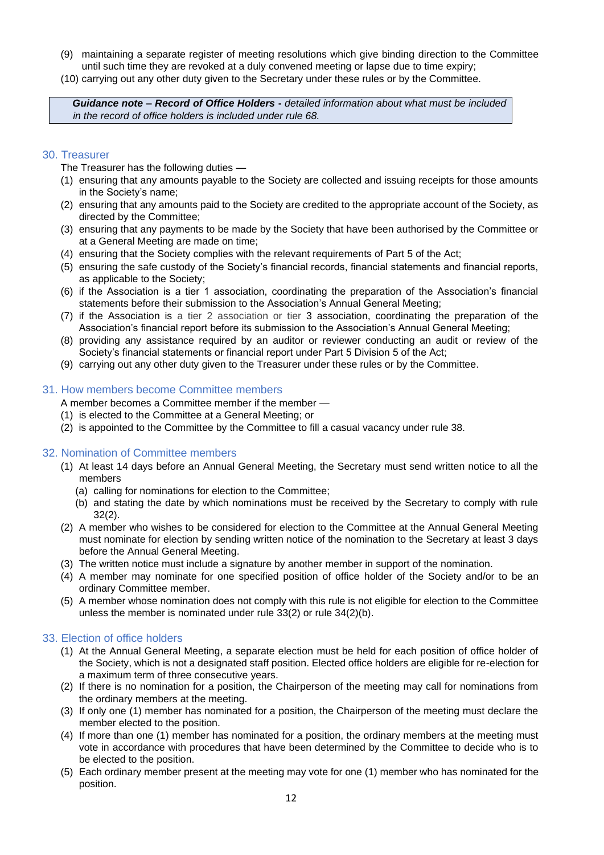- (9) maintaining a separate register of meeting resolutions which give binding direction to the Committee until such time they are revoked at a duly convened meeting or lapse due to time expiry;
- (10) carrying out any other duty given to the Secretary under these rules or by the Committee.

*Guidance note – Record of Office Holders* **-** *detailed information about what must be included in the record of office holders is included under rule 68.*

#### <span id="page-11-0"></span>30. Treasurer

The Treasurer has the following duties —

- (1) ensuring that any amounts payable to the Society are collected and issuing receipts for those amounts in the Society's name;
- (2) ensuring that any amounts paid to the Society are credited to the appropriate account of the Society, as directed by the Committee;
- (3) ensuring that any payments to be made by the Society that have been authorised by the Committee or at a General Meeting are made on time;
- (4) ensuring that the Society complies with the relevant requirements of Part 5 of the Act;
- (5) ensuring the safe custody of the Society's financial records, financial statements and financial reports, as applicable to the Society;
- (6) if the Association is a tier 1 association, coordinating the preparation of the Association's financial statements before their submission to the Association's Annual General Meeting;
- (7) if the Association is a tier 2 association or tier 3 association, coordinating the preparation of the Association's financial report before its submission to the Association's Annual General Meeting;
- (8) providing any assistance required by an auditor or reviewer conducting an audit or review of the Society's financial statements or financial report under Part 5 Division 5 of the Act;
- (9) carrying out any other duty given to the Treasurer under these rules or by the Committee.

#### <span id="page-11-1"></span>31. How members become Committee members

A member becomes a Committee member if the member —

- (1) is elected to the Committee at a General Meeting; or
- (2) is appointed to the Committee by the Committee to fill a casual vacancy under rule 38.

#### <span id="page-11-2"></span>32. Nomination of Committee members

- (1) At least 14 days before an Annual General Meeting, the Secretary must send written notice to all the members
	- (a) calling for nominations for election to the Committee;
	- (b) and stating the date by which nominations must be received by the Secretary to comply with rule 32(2).
- (2) A member who wishes to be considered for election to the Committee at the Annual General Meeting must nominate for election by sending written notice of the nomination to the Secretary at least 3 days before the Annual General Meeting.
- (3) The written notice must include a signature by another member in support of the nomination.
- (4) A member may nominate for one specified position of office holder of the Society and/or to be an ordinary Committee member.
- (5) A member whose nomination does not comply with this rule is not eligible for election to the Committee unless the member is nominated under rule 33(2) or rule 34(2)(b).

#### <span id="page-11-3"></span>33. Election of office holders

- (1) At the Annual General Meeting, a separate election must be held for each position of office holder of the Society, which is not a designated staff position. Elected office holders are eligible for re-election for a maximum term of three consecutive years.
- (2) If there is no nomination for a position, the Chairperson of the meeting may call for nominations from the ordinary members at the meeting.
- (3) If only one (1) member has nominated for a position, the Chairperson of the meeting must declare the member elected to the position.
- (4) If more than one (1) member has nominated for a position, the ordinary members at the meeting must vote in accordance with procedures that have been determined by the Committee to decide who is to be elected to the position.
- (5) Each ordinary member present at the meeting may vote for one (1) member who has nominated for the position.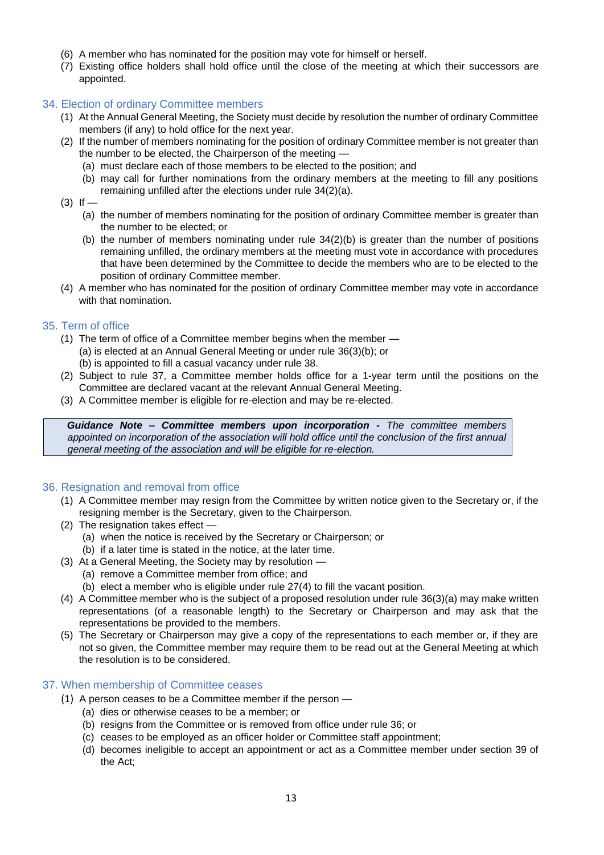- (6) A member who has nominated for the position may vote for himself or herself.
- (7) Existing office holders shall hold office until the close of the meeting at which their successors are appointed.

#### <span id="page-12-0"></span>34. Election of ordinary Committee members

- (1) At the Annual General Meeting, the Society must decide by resolution the number of ordinary Committee members (if any) to hold office for the next year.
- (2) If the number of members nominating for the position of ordinary Committee member is not greater than the number to be elected, the Chairperson of the meeting —
	- (a) must declare each of those members to be elected to the position; and
	- (b) may call for further nominations from the ordinary members at the meeting to fill any positions remaining unfilled after the elections under rule 34(2)(a).
- $(3)$  If  $-$ 
	- (a) the number of members nominating for the position of ordinary Committee member is greater than the number to be elected; or
	- (b) the number of members nominating under rule 34(2)(b) is greater than the number of positions remaining unfilled, the ordinary members at the meeting must vote in accordance with procedures that have been determined by the Committee to decide the members who are to be elected to the position of ordinary Committee member.
- (4) A member who has nominated for the position of ordinary Committee member may vote in accordance with that nomination.

#### <span id="page-12-1"></span>35. Term of office

- (1) The term of office of a Committee member begins when the member (a) is elected at an Annual General Meeting or under rule 36(3)(b); or (b) is appointed to fill a casual vacancy under rule 38.
- (2) Subject to rule 37, a Committee member holds office for a 1-year term until the positions on the Committee are declared vacant at the relevant Annual General Meeting.
- (3) A Committee member is eligible for re-election and may be re-elected.

*Guidance Note – Committee members upon incorporation - The committee members appointed on incorporation of the association will hold office until the conclusion of the first annual general meeting of the association and will be eligible for re-election.*

#### <span id="page-12-2"></span>36. Resignation and removal from office

- (1) A Committee member may resign from the Committee by written notice given to the Secretary or, if the resigning member is the Secretary, given to the Chairperson.
- (2) The resignation takes effect
	- (a) when the notice is received by the Secretary or Chairperson; or
	- (b) if a later time is stated in the notice, at the later time.
- (3) At a General Meeting, the Society may by resolution
	- (a) remove a Committee member from office; and
	- (b) elect a member who is eligible under rule 27(4) to fill the vacant position.
- (4) A Committee member who is the subject of a proposed resolution under rule 36(3)(a) may make written representations (of a reasonable length) to the Secretary or Chairperson and may ask that the representations be provided to the members.
- (5) The Secretary or Chairperson may give a copy of the representations to each member or, if they are not so given, the Committee member may require them to be read out at the General Meeting at which the resolution is to be considered.

#### <span id="page-12-3"></span>37. When membership of Committee ceases

- (1) A person ceases to be a Committee member if the person
	- (a) dies or otherwise ceases to be a member; or
	- (b) resigns from the Committee or is removed from office under rule 36; or
	- (c) ceases to be employed as an officer holder or Committee staff appointment;
	- (d) becomes ineligible to accept an appointment or act as a Committee member under section 39 of the Act;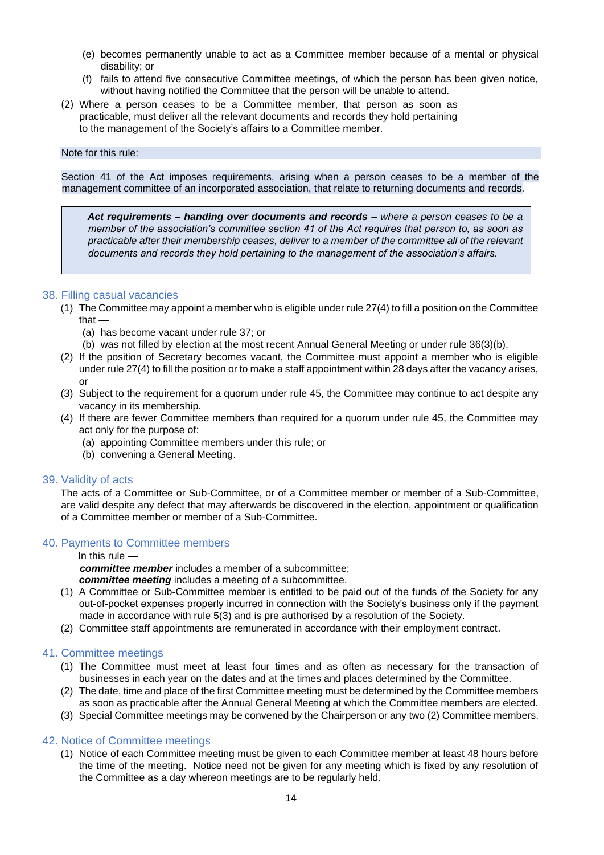- (e) becomes permanently unable to act as a Committee member because of a mental or physical disability; or
- (f) fails to attend five consecutive Committee meetings, of which the person has been given notice, without having notified the Committee that the person will be unable to attend.
- (2) Where a person ceases to be a Committee member, that person as soon as practicable, must deliver all the relevant documents and records they hold pertaining to the management of the Society's affairs to a Committee member.

Note for this rule:

Section 41 of the Act imposes requirements, arising when a person ceases to be a member of the management committee of an incorporated association, that relate to returning documents and records.

*Act requirements – handing over documents and records – where a person ceases to be a member of the association's committee section 41 of the Act requires that person to, as soon as practicable after their membership ceases, deliver to a member of the committee all of the relevant documents and records they hold pertaining to the management of the association's affairs.*

#### <span id="page-13-0"></span>38. Filling casual vacancies

- (1) The Committee may appoint a member who is eligible under rule 27(4) to fill a position on the Committee that -
	- (a) has become vacant under rule 37; or
	- (b) was not filled by election at the most recent Annual General Meeting or under rule 36(3)(b).
- (2) If the position of Secretary becomes vacant, the Committee must appoint a member who is eligible under rule 27(4) to fill the position or to make a staff appointment within 28 days after the vacancy arises, or
- (3) Subject to the requirement for a quorum under rule 45, the Committee may continue to act despite any vacancy in its membership.
- (4) If there are fewer Committee members than required for a quorum under rule 45, the Committee may act only for the purpose of:
	- (a) appointing Committee members under this rule; or
	- (b) convening a General Meeting.

#### <span id="page-13-1"></span>39. Validity of acts

The acts of a Committee or Sub-Committee, or of a Committee member or member of a Sub-Committee, are valid despite any defect that may afterwards be discovered in the election, appointment or qualification of a Committee member or member of a Sub-Committee.

#### <span id="page-13-2"></span>40. Payments to Committee members

#### In this rule —

*committee member* includes a member of a subcommittee; *committee meeting* includes a meeting of a subcommittee.

- (1) A Committee or Sub-Committee member is entitled to be paid out of the funds of the Society for any out-of-pocket expenses properly incurred in connection with the Society's business only if the payment made in accordance with rule 5(3) and is pre authorised by a resolution of the Society.
- (2) Committee staff appointments are remunerated in accordance with their employment contract.

#### <span id="page-13-3"></span>41. Committee meetings

- (1) The Committee must meet at least four times and as often as necessary for the transaction of businesses in each year on the dates and at the times and places determined by the Committee.
- (2) The date, time and place of the first Committee meeting must be determined by the Committee members as soon as practicable after the Annual General Meeting at which the Committee members are elected.
- (3) Special Committee meetings may be convened by the Chairperson or any two (2) Committee members.

#### <span id="page-13-4"></span>42. Notice of Committee meetings

(1) Notice of each Committee meeting must be given to each Committee member at least 48 hours before the time of the meeting. Notice need not be given for any meeting which is fixed by any resolution of the Committee as a day whereon meetings are to be regularly held.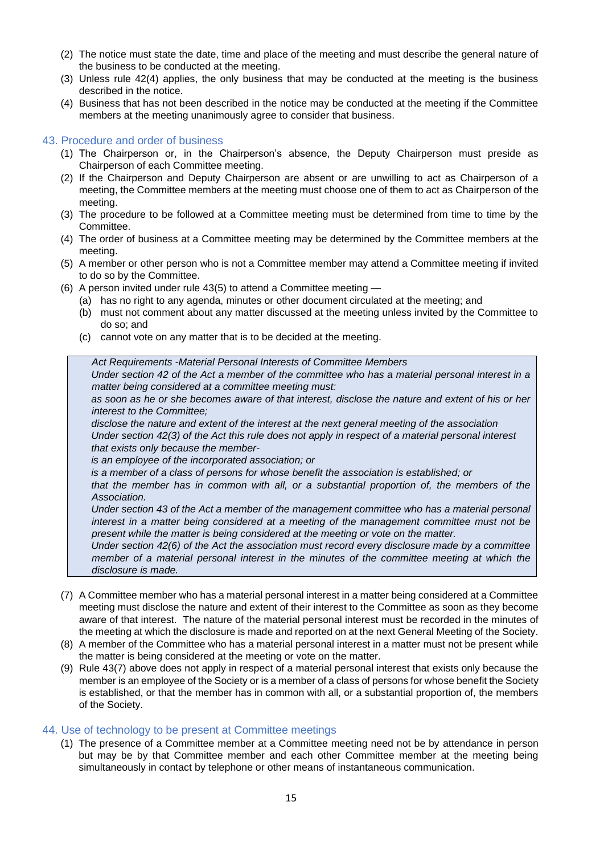- (2) The notice must state the date, time and place of the meeting and must describe the general nature of the business to be conducted at the meeting.
- (3) Unless rule 42(4) applies, the only business that may be conducted at the meeting is the business described in the notice.
- (4) Business that has not been described in the notice may be conducted at the meeting if the Committee members at the meeting unanimously agree to consider that business.

#### <span id="page-14-0"></span>43. Procedure and order of business

- (1) The Chairperson or, in the Chairperson's absence, the Deputy Chairperson must preside as Chairperson of each Committee meeting.
- (2) If the Chairperson and Deputy Chairperson are absent or are unwilling to act as Chairperson of a meeting, the Committee members at the meeting must choose one of them to act as Chairperson of the meeting.
- (3) The procedure to be followed at a Committee meeting must be determined from time to time by the Committee.
- (4) The order of business at a Committee meeting may be determined by the Committee members at the meeting.
- (5) A member or other person who is not a Committee member may attend a Committee meeting if invited to do so by the Committee.
- (6) A person invited under rule 43(5) to attend a Committee meeting
	- (a) has no right to any agenda, minutes or other document circulated at the meeting; and
	- (b) must not comment about any matter discussed at the meeting unless invited by the Committee to do so; and
	- (c) cannot vote on any matter that is to be decided at the meeting.

*Act Requirements -Material Personal Interests of Committee Members*

*Under section 42 of the Act a member of the committee who has a material personal interest in a matter being considered at a committee meeting must:* 

*as soon as he or she becomes aware of that interest, disclose the nature and extent of his or her interest to the Committee;*

*disclose the nature and extent of the interest at the next general meeting of the association Under section 42(3) of the Act this rule does not apply in respect of a material personal interest that exists only because the member-*

*is an employee of the incorporated association; or*

*is a member of a class of persons for whose benefit the association is established; or*

*that the member has in common with all, or a substantial proportion of, the members of the Association.*

*Under section 43 of the Act a member of the management committee who has a material personal interest in a matter being considered at a meeting of the management committee must not be present while the matter is being considered at the meeting or vote on the matter.* 

*Under section 42(6) of the Act the association must record every disclosure made by a committee member of a material personal interest in the minutes of the committee meeting at which the disclosure is made.*

- (7) A Committee member who has a material personal interest in a matter being considered at a Committee meeting must disclose the nature and extent of their interest to the Committee as soon as they become aware of that interest. The nature of the material personal interest must be recorded in the minutes of the meeting at which the disclosure is made and reported on at the next General Meeting of the Society.
- (8) A member of the Committee who has a material personal interest in a matter must not be present while the matter is being considered at the meeting or vote on the matter.
- (9) Rule 43(7) above does not apply in respect of a material personal interest that exists only because the member is an employee of the Society or is a member of a class of persons for whose benefit the Society is established, or that the member has in common with all, or a substantial proportion of, the members of the Society.

#### <span id="page-14-1"></span>44. Use of technology to be present at Committee meetings

(1) The presence of a Committee member at a Committee meeting need not be by attendance in person but may be by that Committee member and each other Committee member at the meeting being simultaneously in contact by telephone or other means of instantaneous communication.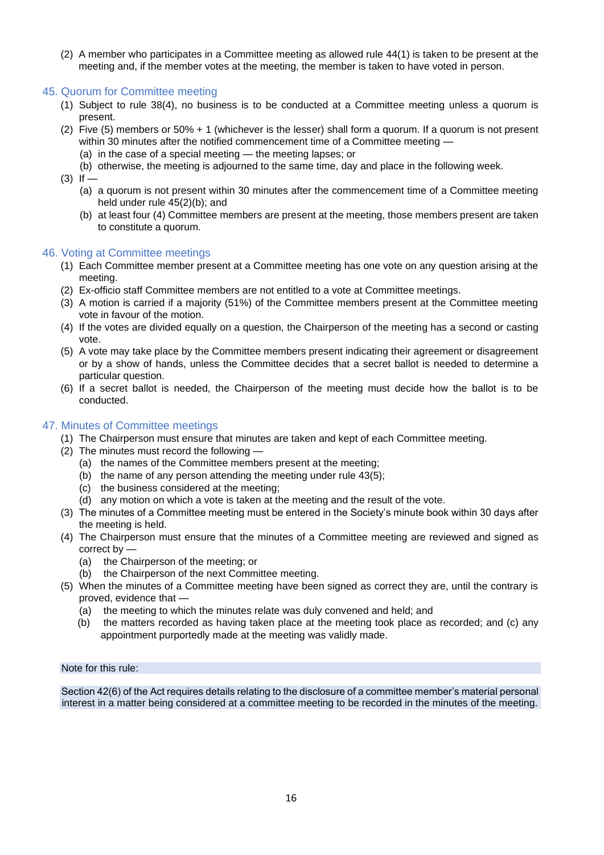(2) A member who participates in a Committee meeting as allowed rule 44(1) is taken to be present at the meeting and, if the member votes at the meeting, the member is taken to have voted in person.

#### <span id="page-15-0"></span>45. Quorum for Committee meeting

- (1) Subject to rule 38(4), no business is to be conducted at a Committee meeting unless a quorum is present.
- (2) Five (5) members or 50% + 1 (whichever is the lesser) shall form a quorum. If a quorum is not present within 30 minutes after the notified commencement time of a Committee meeting —
	- (a) in the case of a special meeting the meeting lapses; or
	- (b) otherwise, the meeting is adjourned to the same time, day and place in the following week.
- $(3)$  If
	- (a) a quorum is not present within 30 minutes after the commencement time of a Committee meeting held under rule 45(2)(b); and
	- (b) at least four (4) Committee members are present at the meeting, those members present are taken to constitute a quorum.

#### <span id="page-15-1"></span>46. Voting at Committee meetings

- (1) Each Committee member present at a Committee meeting has one vote on any question arising at the meeting.
- (2) Ex-officio staff Committee members are not entitled to a vote at Committee meetings.
- (3) A motion is carried if a majority (51%) of the Committee members present at the Committee meeting vote in favour of the motion.
- (4) If the votes are divided equally on a question, the Chairperson of the meeting has a second or casting vote.
- (5) A vote may take place by the Committee members present indicating their agreement or disagreement or by a show of hands, unless the Committee decides that a secret ballot is needed to determine a particular question.
- (6) If a secret ballot is needed, the Chairperson of the meeting must decide how the ballot is to be conducted.

#### <span id="page-15-2"></span>47. Minutes of Committee meetings

- (1) The Chairperson must ensure that minutes are taken and kept of each Committee meeting.
- (2) The minutes must record the following
	- (a) the names of the Committee members present at the meeting;
	- (b) the name of any person attending the meeting under rule 43(5);
	- (c) the business considered at the meeting;
	- (d) any motion on which a vote is taken at the meeting and the result of the vote.
- (3) The minutes of a Committee meeting must be entered in the Society's minute book within 30 days after the meeting is held.
- (4) The Chairperson must ensure that the minutes of a Committee meeting are reviewed and signed as correct by —
	- (a) the Chairperson of the meeting; or
	- (b) the Chairperson of the next Committee meeting.
- (5) When the minutes of a Committee meeting have been signed as correct they are, until the contrary is proved, evidence that —
	- (a) the meeting to which the minutes relate was duly convened and held; and
	- (b) the matters recorded as having taken place at the meeting took place as recorded; and (c) any appointment purportedly made at the meeting was validly made.

#### Note for this rule:

Section 42(6) of the Act requires details relating to the disclosure of a committee member's material personal interest in a matter being considered at a committee meeting to be recorded in the minutes of the meeting.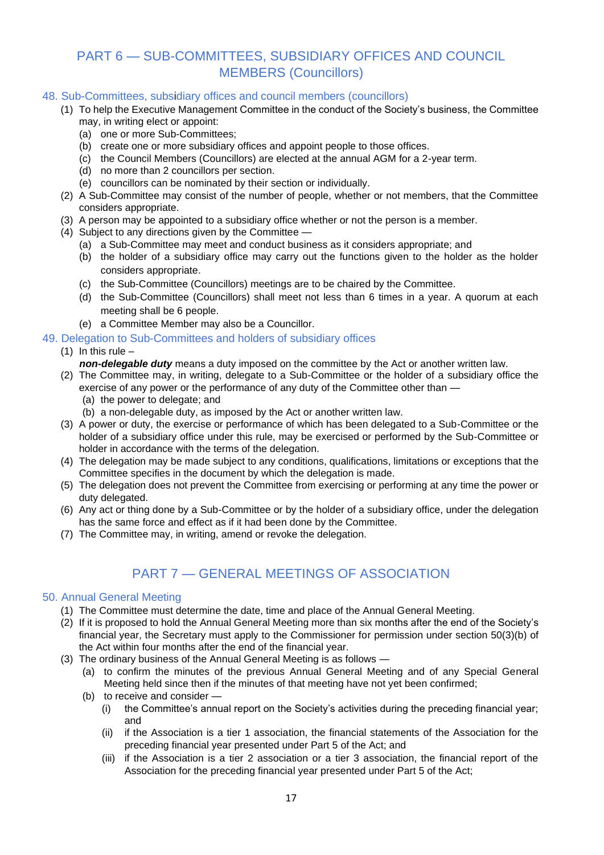## <span id="page-16-0"></span>PART 6 — SUB-COMMITTEES, SUBSIDIARY OFFICES AND COUNCIL MEMBERS (Councillors)

#### <span id="page-16-1"></span>48. Sub-Committees, subsidiary offices and council members (councillors)

- (1) To help the Executive Management Committee in the conduct of the Society's business, the Committee may, in writing elect or appoint:
	- (a) one or more Sub-Committees;
	- (b) create one or more subsidiary offices and appoint people to those offices.
	- (c) the Council Members (Councillors) are elected at the annual AGM for a 2-year term.
	- (d) no more than 2 councillors per section.
	- (e) councillors can be nominated by their section or individually.
- (2) A Sub-Committee may consist of the number of people, whether or not members, that the Committee considers appropriate.
- (3) A person may be appointed to a subsidiary office whether or not the person is a member.
- (4) Subject to any directions given by the Committee
	- (a) a Sub-Committee may meet and conduct business as it considers appropriate; and
	- (b) the holder of a subsidiary office may carry out the functions given to the holder as the holder considers appropriate.
	- (c) the Sub-Committee (Councillors) meetings are to be chaired by the Committee.
	- (d) the Sub-Committee (Councillors) shall meet not less than 6 times in a year. A quorum at each meeting shall be 6 people.
	- (e) a Committee Member may also be a Councillor.
- <span id="page-16-2"></span>49. Delegation to Sub-Committees and holders of subsidiary offices

#### (1) In this rule  $-$

*non-delegable duty* means a duty imposed on the committee by the Act or another written law.

- (2) The Committee may, in writing, delegate to a Sub-Committee or the holder of a subsidiary office the exercise of any power or the performance of any duty of the Committee other than —
	- (a) the power to delegate; and
	- (b) a non-delegable duty, as imposed by the Act or another written law.
- (3) A power or duty, the exercise or performance of which has been delegated to a Sub-Committee or the holder of a subsidiary office under this rule, may be exercised or performed by the Sub-Committee or holder in accordance with the terms of the delegation.
- (4) The delegation may be made subject to any conditions, qualifications, limitations or exceptions that the Committee specifies in the document by which the delegation is made.
- (5) The delegation does not prevent the Committee from exercising or performing at any time the power or duty delegated.
- (6) Any act or thing done by a Sub-Committee or by the holder of a subsidiary office, under the delegation has the same force and effect as if it had been done by the Committee.
- (7) The Committee may, in writing, amend or revoke the delegation.

## PART 7 — GENERAL MEETINGS OF ASSOCIATION

#### <span id="page-16-4"></span><span id="page-16-3"></span>50. Annual General Meeting

- (1) The Committee must determine the date, time and place of the Annual General Meeting.
- (2) If it is proposed to hold the Annual General Meeting more than six months after the end of the Society's financial year, the Secretary must apply to the Commissioner for permission under section 50(3)(b) of the Act within four months after the end of the financial year.
- (3) The ordinary business of the Annual General Meeting is as follows
	- (a) to confirm the minutes of the previous Annual General Meeting and of any Special General Meeting held since then if the minutes of that meeting have not yet been confirmed;
	- (b) to receive and consider
		- (i) the Committee's annual report on the Society's activities during the preceding financial year; and
		- (ii) if the Association is a tier 1 association, the financial statements of the Association for the preceding financial year presented under Part 5 of the Act; and
		- (iii) if the Association is a tier 2 association or a tier 3 association, the financial report of the Association for the preceding financial year presented under Part 5 of the Act;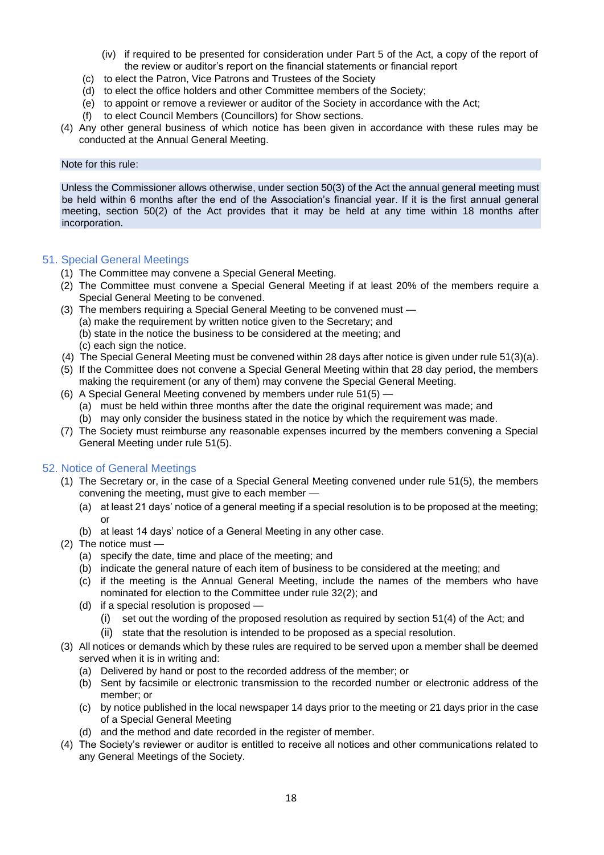- (iv) if required to be presented for consideration under Part 5 of the Act, a copy of the report of the review or auditor's report on the financial statements or financial report
- (c) to elect the Patron, Vice Patrons and Trustees of the Society
- (d) to elect the office holders and other Committee members of the Society;
- (e) to appoint or remove a reviewer or auditor of the Society in accordance with the Act;
- (f) to elect Council Members (Councillors) for Show sections.
- (4) Any other general business of which notice has been given in accordance with these rules may be conducted at the Annual General Meeting.

#### Note for this rule:

Unless the Commissioner allows otherwise, under section 50(3) of the Act the annual general meeting must be held within 6 months after the end of the Association's financial year. If it is the first annual general meeting, section 50(2) of the Act provides that it may be held at any time within 18 months after incorporation.

#### <span id="page-17-0"></span>51. Special General Meetings

- (1) The Committee may convene a Special General Meeting.
- (2) The Committee must convene a Special General Meeting if at least 20% of the members require a Special General Meeting to be convened.
- (3) The members requiring a Special General Meeting to be convened must
	- (a) make the requirement by written notice given to the Secretary; and
	- (b) state in the notice the business to be considered at the meeting; and (c) each sign the notice.
- (4) The Special General Meeting must be convened within 28 days after notice is given under rule 51(3)(a).
- (5) If the Committee does not convene a Special General Meeting within that 28 day period, the members making the requirement (or any of them) may convene the Special General Meeting.
- (6) A Special General Meeting convened by members under rule 51(5)
	- (a) must be held within three months after the date the original requirement was made; and
	- (b) may only consider the business stated in the notice by which the requirement was made.
- (7) The Society must reimburse any reasonable expenses incurred by the members convening a Special General Meeting under rule 51(5).

#### <span id="page-17-1"></span>52. Notice of General Meetings

- (1) The Secretary or, in the case of a Special General Meeting convened under rule 51(5), the members convening the meeting, must give to each member —
	- (a) at least 21 days' notice of a general meeting if a special resolution is to be proposed at the meeting; or
	- (b) at least 14 days' notice of a General Meeting in any other case.
- (2) The notice must
	- (a) specify the date, time and place of the meeting; and
	- (b) indicate the general nature of each item of business to be considered at the meeting; and
	- (c) if the meeting is the Annual General Meeting, include the names of the members who have nominated for election to the Committee under rule 32(2); and
	- (d) if a special resolution is proposed
		- (i) set out the wording of the proposed resolution as required by section 51(4) of the Act; and
		- (ii) state that the resolution is intended to be proposed as a special resolution.
- (3) All notices or demands which by these rules are required to be served upon a member shall be deemed served when it is in writing and:
	- (a) Delivered by hand or post to the recorded address of the member; or
	- (b) Sent by facsimile or electronic transmission to the recorded number or electronic address of the member; or
	- (c) by notice published in the local newspaper 14 days prior to the meeting or 21 days prior in the case of a Special General Meeting
	- (d) and the method and date recorded in the register of member.
- (4) The Society's reviewer or auditor is entitled to receive all notices and other communications related to any General Meetings of the Society.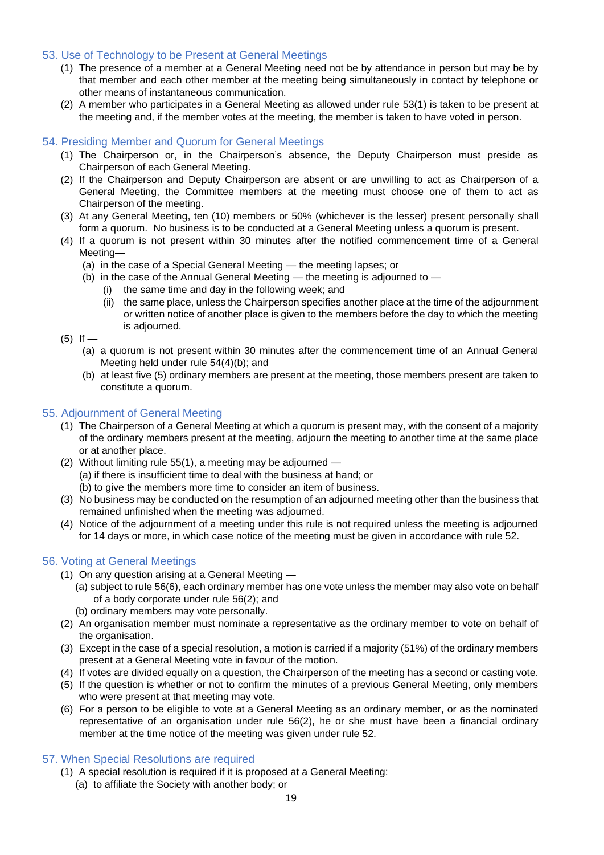#### <span id="page-18-0"></span>53. Use of Technology to be Present at General Meetings

- (1) The presence of a member at a General Meeting need not be by attendance in person but may be by that member and each other member at the meeting being simultaneously in contact by telephone or other means of instantaneous communication.
- (2) A member who participates in a General Meeting as allowed under rule 53(1) is taken to be present at the meeting and, if the member votes at the meeting, the member is taken to have voted in person.

#### <span id="page-18-1"></span>54. Presiding Member and Quorum for General Meetings

- (1) The Chairperson or, in the Chairperson's absence, the Deputy Chairperson must preside as Chairperson of each General Meeting.
- (2) If the Chairperson and Deputy Chairperson are absent or are unwilling to act as Chairperson of a General Meeting, the Committee members at the meeting must choose one of them to act as Chairperson of the meeting.
- (3) At any General Meeting, ten (10) members or 50% (whichever is the lesser) present personally shall form a quorum. No business is to be conducted at a General Meeting unless a quorum is present.
- (4) If a quorum is not present within 30 minutes after the notified commencement time of a General Meeting—
	- (a) in the case of a Special General Meeting the meeting lapses; or
	- (b) in the case of the Annual General Meeting the meeting is adjourned to
		- (i) the same time and day in the following week; and
		- (ii) the same place, unless the Chairperson specifies another place at the time of the adjournment or written notice of another place is given to the members before the day to which the meeting is adjourned.
- $(5)$  If
	- (a) a quorum is not present within 30 minutes after the commencement time of an Annual General Meeting held under rule 54(4)(b); and
	- (b) at least five (5) ordinary members are present at the meeting, those members present are taken to constitute a quorum.

#### <span id="page-18-2"></span>55. Adjournment of General Meeting

- (1) The Chairperson of a General Meeting at which a quorum is present may, with the consent of a majority of the ordinary members present at the meeting, adjourn the meeting to another time at the same place or at another place.
- (2) Without limiting rule 55(1), a meeting may be adjourned (a) if there is insufficient time to deal with the business at hand; or (b) to give the members more time to consider an item of business.
- (3) No business may be conducted on the resumption of an adjourned meeting other than the business that remained unfinished when the meeting was adjourned.
- (4) Notice of the adjournment of a meeting under this rule is not required unless the meeting is adjourned for 14 days or more, in which case notice of the meeting must be given in accordance with rule 52.

#### <span id="page-18-3"></span>56. Voting at General Meetings

- (1) On any question arising at a General Meeting
	- (a) subject to rule 56(6), each ordinary member has one vote unless the member may also vote on behalf of a body corporate under rule 56(2); and
	- (b) ordinary members may vote personally.
- (2) An organisation member must nominate a representative as the ordinary member to vote on behalf of the organisation.
- (3) Except in the case of a special resolution, a motion is carried if a majority (51%) of the ordinary members present at a General Meeting vote in favour of the motion.
- (4) If votes are divided equally on a question, the Chairperson of the meeting has a second or casting vote.
- (5) If the question is whether or not to confirm the minutes of a previous General Meeting, only members who were present at that meeting may vote.
- (6) For a person to be eligible to vote at a General Meeting as an ordinary member, or as the nominated representative of an organisation under rule 56(2), he or she must have been a financial ordinary member at the time notice of the meeting was given under rule 52.

#### <span id="page-18-4"></span>57. When Special Resolutions are required

- (1) A special resolution is required if it is proposed at a General Meeting:
	- (a) to affiliate the Society with another body; or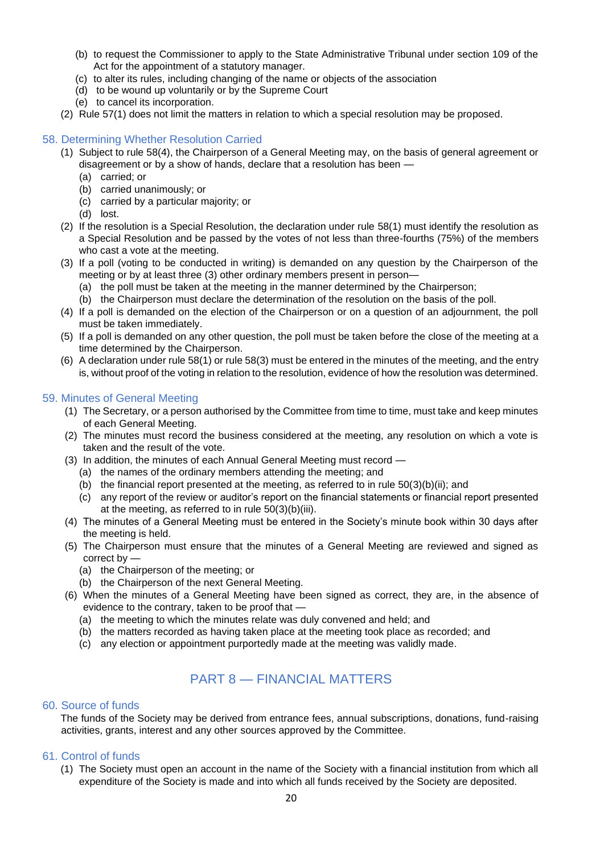- (b) to request the Commissioner to apply to the State Administrative Tribunal under section 109 of the Act for the appointment of a statutory manager.
- (c) to alter its rules, including changing of the name or objects of the association
- (d) to be wound up voluntarily or by the Supreme Court
- (e) to cancel its incorporation.
- (2) Rule 57(1) does not limit the matters in relation to which a special resolution may be proposed.

#### <span id="page-19-0"></span>58. Determining Whether Resolution Carried

- (1) Subject to rule 58(4), the Chairperson of a General Meeting may, on the basis of general agreement or disagreement or by a show of hands, declare that a resolution has been —
	- (a) carried; or
	- (b) carried unanimously; or
	- (c) carried by a particular majority; or
	- (d) lost.
- (2) If the resolution is a Special Resolution, the declaration under rule 58(1) must identify the resolution as a Special Resolution and be passed by the votes of not less than three-fourths (75%) of the members who cast a vote at the meeting.
- (3) If a poll (voting to be conducted in writing) is demanded on any question by the Chairperson of the meeting or by at least three (3) other ordinary members present in person—
	- (a) the poll must be taken at the meeting in the manner determined by the Chairperson;
	- (b) the Chairperson must declare the determination of the resolution on the basis of the poll.
- (4) If a poll is demanded on the election of the Chairperson or on a question of an adjournment, the poll must be taken immediately.
- (5) If a poll is demanded on any other question, the poll must be taken before the close of the meeting at a time determined by the Chairperson.
- (6) A declaration under rule 58(1) or rule 58(3) must be entered in the minutes of the meeting, and the entry is, without proof of the voting in relation to the resolution, evidence of how the resolution was determined.

#### <span id="page-19-1"></span>59. Minutes of General Meeting

- (1) The Secretary, or a person authorised by the Committee from time to time, must take and keep minutes of each General Meeting.
- (2) The minutes must record the business considered at the meeting, any resolution on which a vote is taken and the result of the vote.
- (3) In addition, the minutes of each Annual General Meeting must record
	- (a) the names of the ordinary members attending the meeting; and
	- (b) the financial report presented at the meeting, as referred to in rule 50(3)(b)(ii); and
	- (c) any report of the review or auditor's report on the financial statements or financial report presented at the meeting, as referred to in rule 50(3)(b)(iii).
- (4) The minutes of a General Meeting must be entered in the Society's minute book within 30 days after the meeting is held.
- (5) The Chairperson must ensure that the minutes of a General Meeting are reviewed and signed as correct by —
	- (a) the Chairperson of the meeting; or
	- (b) the Chairperson of the next General Meeting.
- (6) When the minutes of a General Meeting have been signed as correct, they are, in the absence of evidence to the contrary, taken to be proof that —
	- (a) the meeting to which the minutes relate was duly convened and held; and
	- (b) the matters recorded as having taken place at the meeting took place as recorded; and
	- (c) any election or appointment purportedly made at the meeting was validly made.

## PART 8 — FINANCIAL MATTERS

#### <span id="page-19-3"></span><span id="page-19-2"></span>60. Source of funds

The funds of the Society may be derived from entrance fees, annual subscriptions, donations, fund-raising activities, grants, interest and any other sources approved by the Committee.

#### <span id="page-19-4"></span>61. Control of funds

(1) The Society must open an account in the name of the Society with a financial institution from which all expenditure of the Society is made and into which all funds received by the Society are deposited.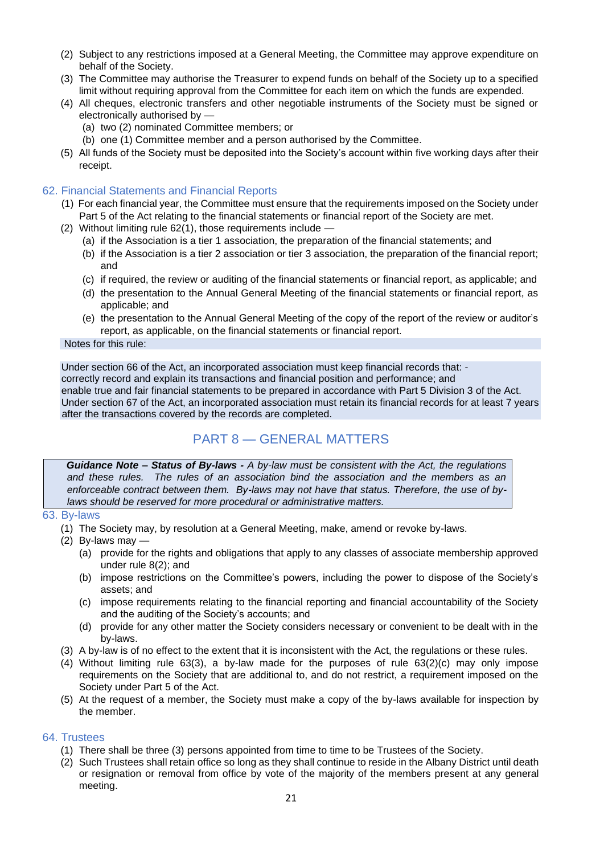- (2) Subject to any restrictions imposed at a General Meeting, the Committee may approve expenditure on behalf of the Society.
- (3) The Committee may authorise the Treasurer to expend funds on behalf of the Society up to a specified limit without requiring approval from the Committee for each item on which the funds are expended.
- (4) All cheques, electronic transfers and other negotiable instruments of the Society must be signed or electronically authorised by —
	- (a) two (2) nominated Committee members; or
	- (b) one (1) Committee member and a person authorised by the Committee.
- (5) All funds of the Society must be deposited into the Society's account within five working days after their receipt.

#### <span id="page-20-0"></span>62. Financial Statements and Financial Reports

- (1) For each financial year, the Committee must ensure that the requirements imposed on the Society under Part 5 of the Act relating to the financial statements or financial report of the Society are met.
- (2) Without limiting rule 62(1), those requirements include
	- (a) if the Association is a tier 1 association, the preparation of the financial statements; and
	- (b) if the Association is a tier 2 association or tier 3 association, the preparation of the financial report; and
	- (c) if required, the review or auditing of the financial statements or financial report, as applicable; and
	- (d) the presentation to the Annual General Meeting of the financial statements or financial report, as applicable; and
	- (e) the presentation to the Annual General Meeting of the copy of the report of the review or auditor's report, as applicable, on the financial statements or financial report.

Notes for this rule:

Under section 66 of the Act, an incorporated association must keep financial records that: correctly record and explain its transactions and financial position and performance; and enable true and fair financial statements to be prepared in accordance with Part 5 Division 3 of the Act. Under section 67 of the Act, an incorporated association must retain its financial records for at least 7 years after the transactions covered by the records are completed.

## PART 8 — GENERAL MATTERS

<span id="page-20-1"></span>*Guidance Note – Status of By-laws - A by-law must be consistent with the Act, the regulations and these rules. The rules of an association bind the association and the members as an enforceable contract between them. By-laws may not have that status. Therefore, the use of bylaws should be reserved for more procedural or administrative matters.* 

#### <span id="page-20-2"></span>63. By-laws

- (1) The Society may, by resolution at a General Meeting, make, amend or revoke by-laws.
- (2) By-laws may
	- (a) provide for the rights and obligations that apply to any classes of associate membership approved under rule 8(2); and
	- (b) impose restrictions on the Committee's powers, including the power to dispose of the Society's assets; and
	- (c) impose requirements relating to the financial reporting and financial accountability of the Society and the auditing of the Society's accounts; and
	- (d) provide for any other matter the Society considers necessary or convenient to be dealt with in the by-laws.
- (3) A by-law is of no effect to the extent that it is inconsistent with the Act, the regulations or these rules.
- (4) Without limiting rule 63(3), a by-law made for the purposes of rule 63(2)(c) may only impose requirements on the Society that are additional to, and do not restrict, a requirement imposed on the Society under Part 5 of the Act.
- (5) At the request of a member, the Society must make a copy of the by-laws available for inspection by the member.

#### <span id="page-20-3"></span>64. Trustees

- (1) There shall be three (3) persons appointed from time to time to be Trustees of the Society.
- (2) Such Trustees shall retain office so long as they shall continue to reside in the Albany District until death or resignation or removal from office by vote of the majority of the members present at any general meeting.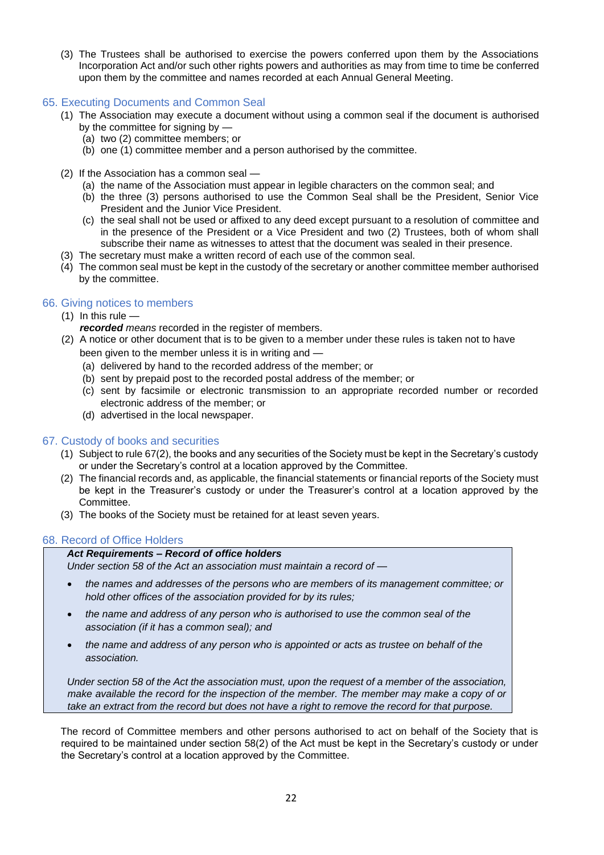(3) The Trustees shall be authorised to exercise the powers conferred upon them by the Associations Incorporation Act and/or such other rights powers and authorities as may from time to time be conferred upon them by the committee and names recorded at each Annual General Meeting.

#### <span id="page-21-0"></span>65. Executing Documents and Common Seal

- (1) The Association may execute a document without using a common seal if the document is authorised by the committee for signing by —
	- (a) two (2) committee members; or
	- (b) one (1) committee member and a person authorised by the committee.
- (2) If the Association has a common seal
	- (a) the name of the Association must appear in legible characters on the common seal; and
	- (b) the three (3) persons authorised to use the Common Seal shall be the President, Senior Vice President and the Junior Vice President.
	- (c) the seal shall not be used or affixed to any deed except pursuant to a resolution of committee and in the presence of the President or a Vice President and two (2) Trustees, both of whom shall subscribe their name as witnesses to attest that the document was sealed in their presence.
- (3) The secretary must make a written record of each use of the common seal.
- (4) The common seal must be kept in the custody of the secretary or another committee member authorised by the committee.

#### <span id="page-21-1"></span>66. Giving notices to members

- $(1)$  In this rule
	- *recorded means* recorded in the register of members.
- (2) A notice or other document that is to be given to a member under these rules is taken not to have been given to the member unless it is in writing and —
	- (a) delivered by hand to the recorded address of the member; or
	- (b) sent by prepaid post to the recorded postal address of the member; or
	- (c) sent by facsimile or electronic transmission to an appropriate recorded number or recorded electronic address of the member; or
	- (d) advertised in the local newspaper.

#### <span id="page-21-2"></span>67. Custody of books and securities

- (1) Subject to rule 67(2), the books and any securities of the Society must be kept in the Secretary's custody or under the Secretary's control at a location approved by the Committee.
- (2) The financial records and, as applicable, the financial statements or financial reports of the Society must be kept in the Treasurer's custody or under the Treasurer's control at a location approved by the Committee.
- (3) The books of the Society must be retained for at least seven years.

#### <span id="page-21-3"></span>68. Record of Office Holders

#### *Act Requirements – Record of office holders*

*Under section 58 of the Act an association must maintain a record of —*

- *the names and addresses of the persons who are members of its management committee; or hold other offices of the association provided for by its rules;*
- *the name and address of any person who is authorised to use the common seal of the association (if it has a common seal); and*
- *the name and address of any person who is appointed or acts as trustee on behalf of the association.*

*Under section 58 of the Act the association must, upon the request of a member of the association, make available the record for the inspection of the member. The member may make a copy of or take an extract from the record but does not have a right to remove the record for that purpose.*

The record of Committee members and other persons authorised to act on behalf of the Society that is required to be maintained under section 58(2) of the Act must be kept in the Secretary's custody or under the Secretary's control at a location approved by the Committee.